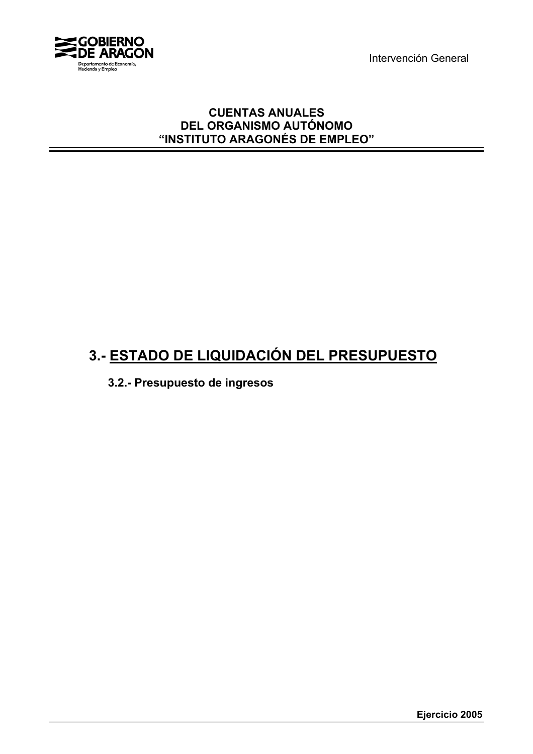Intervención General



### **CUENTAS ANUALES DEL ORGANISMO AUTÓNOMO "INSTITUTO ARAGONÉS DE EMPLEO"**

# **3.- ESTADO DE LIQUIDACIÓN DEL PRESUPUESTO**

**3.2.- Presupuesto de ingresos**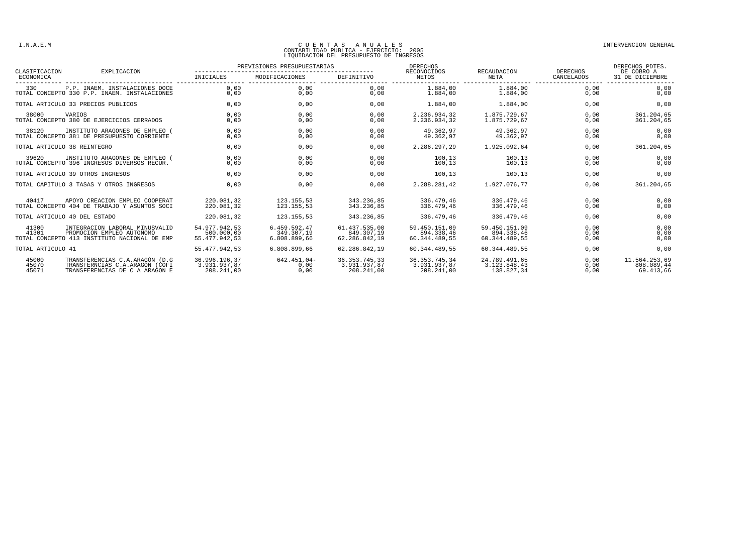## CUENTAS ANUALES<br>CONTABILIDAD PUBLICA - EJERCICIO: 2005<br>LIQUIDACION DEL PRESUPUESTO DE INGRESOS

| CLASIFICACION                | EXPLICACION                                                                                                 | PREVISIONES PRESUPUESTARIAS                  |                                            |                                              | <b>DERECHOS</b><br>RECONOCIDOS               | RECAUDACION                                  | DERECHOS             | DERECHOS PDTES.<br>DE COBRO A            |
|------------------------------|-------------------------------------------------------------------------------------------------------------|----------------------------------------------|--------------------------------------------|----------------------------------------------|----------------------------------------------|----------------------------------------------|----------------------|------------------------------------------|
| ECONOMICA                    |                                                                                                             | INICIALES                                    | MODIFICACIONES                             | DEFINITIVO                                   | NETOS                                        | NETA                                         | CANCELADOS           | 31 DE DICIEMBRE                          |
| 330                          | P.P. INAEM. INSTALACIONES DOCE<br>TOTAL CONCEPTO 330 P.P. INAEM. INSTALACIONES                              | 0.00<br>0,00                                 | 0.00<br>0,00                               | 0.00<br>0,00                                 | 1.884.00<br>1,884,00                         | 1.884,00<br>1.884,00                         | 0.00<br>0,00         | 0.00<br>0,00                             |
|                              | TOTAL ARTICULO 33 PRECIOS PUBLICOS                                                                          | 0.00                                         | 0.00                                       | 0,00                                         | 1.884,00                                     | 1.884.00                                     | 0.00                 | 0,00                                     |
| 38000                        | VARIOS<br>TOTAL CONCEPTO 380 DE EJERCICIOS CERRADOS                                                         | 0.00<br>0,00                                 | 0.00<br>0,00                               | 0.00<br>0,00                                 | 2.236.934.32<br>2.236.934,32                 | 1.875.729.67<br>1.875.729.67                 | 0.00<br>0,00         | 361.204,65<br>361.204,65                 |
| 38120                        | INSTITUTO ARAGONES DE EMPLEO<br>TOTAL CONCEPTO 381 DE PRESUPUESTO CORRIENTE                                 | 0.00<br>0.00                                 | 0.00<br>0,00                               | 0.00<br>0,00                                 | 49.362.97<br>49.362.97                       | 49.362.97<br>49.362.97                       | 0.00<br>0,00         | 0,00<br>0,00                             |
|                              | TOTAL ARTICULO 38 REINTEGRO                                                                                 | 0.00                                         | 0.00                                       | 0.00                                         | 2.286.297.29                                 | 1.925.092.64                                 | 0,00                 | 361.204,65                               |
| 39620                        | INSTITUTO ARAGONES DE EMPLEO (<br>TOTAL CONCEPTO 396 INGRESOS DIVERSOS RECUR.                               | 0.00<br>0,00                                 | 0.00<br>0,00                               | 0.00<br>0,00                                 | 100.13<br>100,13                             | 100.13<br>100,13                             | 0.00<br>0,00         | 0,00<br>0,00                             |
|                              | TOTAL ARTICULO 39 OTROS INGRESOS                                                                            | 0.00                                         | 0.00                                       | 0.00                                         | 100.13                                       | 100.13                                       | 0.00                 | 0,00                                     |
|                              | TOTAL CAPITULO 3 TASAS Y OTROS INGRESOS                                                                     | 0.00                                         | 0.00                                       | 0.00                                         | 2.288.281,42                                 | 1.927.076.77                                 | 0,00                 | 361.204,65                               |
| 40417                        | APOYO CREACION EMPLEO COOPERAT<br>TOTAL CONCEPTO 404 DE TRABAJO Y ASUNTOS SOCI                              | 220.081.32<br>220.081,32                     | 123.155.53<br>123.155,53                   | 343.236.85<br>343.236.85                     | 336.479.46<br>336.479.46                     | 336.479.46<br>336.479.46                     | 0.00<br>0,00         | 0,00<br>0,00                             |
| TOTAL ARTICULO 40 DEL ESTADO |                                                                                                             | 220.081.32                                   | 123.155.53                                 | 343.236.85                                   | 336.479.46                                   | 336.479.46                                   | 0.00                 | 0.00                                     |
| 41300<br>41301               | INTEGRACION LABORAL MINUSVALID<br>PROMOCION EMPLEO AUTONOMO<br>TOTAL CONCEPTO 413 INSTITUTO NACIONAL DE EMP | 54.977.942.53<br>500.000,00<br>55.477.942.53 | 6.459.592.47<br>349.307.19<br>6.808.899,66 | 61.437.535.00<br>849.307.19<br>62.286.842.19 | 59.450.151.09<br>894.338.46<br>60.344.489.55 | 59.450.151.09<br>894.338,46<br>60.344.489.55 | 0.00<br>0,00<br>0,00 | 0,00<br>0,00<br>0,00                     |
| TOTAL ARTICULO 41            |                                                                                                             | 55.477.942,53                                | 6.808.899.66                               | 62.286.842.19                                | 60.344.489.55                                | 60.344.489.55                                | 0,00                 | 0,00                                     |
| 45000<br>45070<br>45071      | TRANSFERENCIAS C.A.ARAGÓN (D.G<br>TRANSFERNCIAS C.A.ARAGÓN (COFI<br>TRANSFERENCIAS DE C A ARAGON E          | 36.996.196,37<br>3.931.937.87<br>208.241,00  | $642.451.04 -$<br>0,00<br>0.00             | 36.353.745.33<br>3.931.937.87<br>208.241,00  | 36.353.745.34<br>3.931.937.87<br>208.241,00  | 24.789.491.65<br>3.123.848.43<br>138.827,34  | 0.00<br>0,00<br>0,00 | 11.564.253,69<br>808.089,44<br>69.413,66 |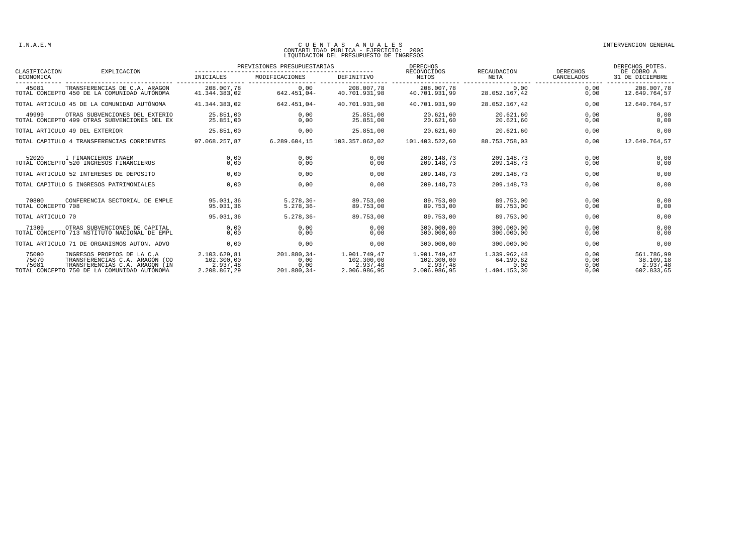## CUENTAS ANUALES<br>CONTABILIDAD PUBLICA - EJERCICIO: 2005<br>LIQUIDACION DEL PRESUPUESTO DE INGRESOS

| CLASIFICACION<br>ECONOMICA  | EXPLICACION                                                                                                                                   | PREVISIONES PRESUPUESTARIAS                            |                                              |                                                        | <b>DERECHOS</b>                                        |                                                   |                              | DERECHOS PDTES.                                   |
|-----------------------------|-----------------------------------------------------------------------------------------------------------------------------------------------|--------------------------------------------------------|----------------------------------------------|--------------------------------------------------------|--------------------------------------------------------|---------------------------------------------------|------------------------------|---------------------------------------------------|
|                             |                                                                                                                                               | INICIALES                                              | MODIFICACIONES                               | <b>DEFINITIVO</b>                                      | RECONOCIDOS<br><b>NETOS</b>                            | RECAUDACION<br><b>NETA</b>                        | DERECHOS<br>CANCELADOS       | DE COBRO A<br>31 DE DICIEMBRE                     |
| 45081                       | TRANSFERENCIAS DE C.A. ARAGON<br>TOTAL CONCEPTO 450 DE LA COMUNIDAD AUTÓNOMA                                                                  | 208.007,78<br>41.344.383.02                            | 0.00<br>$642.451.04-$                        | 208,007,78<br>40.701.931.98                            | 208,007,78<br>40.701.931.99                            | 0.00<br>28.052.167,42                             | 0.00<br>0.00                 | 208,007,78<br>12.649.764,57                       |
|                             | TOTAL ARTICULO 45 DE LA COMUNIDAD AUTÓNOMA                                                                                                    | 41.344.383.02                                          | $642.451.04-$                                | 40.701.931.98                                          | 40.701.931.99                                          | 28.052.167.42                                     | 0.00                         | 12.649.764,57                                     |
| 49999                       | OTRAS SUBVENCIONES DEL EXTERIO<br>TOTAL CONCEPTO 499 OTRAS SUBVENCIONES DEL EX                                                                | 25.851,00<br>25.851.00                                 | 0,00<br>0.00                                 | 25.851,00<br>25.851.00                                 | 20.621,60<br>20.621.60                                 | 20.621,60<br>20.621.60                            | 0,00<br>0,00                 | 0,00<br>0,00                                      |
|                             | TOTAL ARTICULO 49 DEL EXTERIOR                                                                                                                | 25.851,00                                              | 0,00                                         | 25.851,00                                              | 20.621,60                                              | 20.621,60                                         | 0,00                         | 0,00                                              |
|                             | TOTAL CAPITULO 4 TRANSFERENCIAS CORRIENTES                                                                                                    | 97.068.257,87                                          | 6.289.604,15                                 | 103.357.862,02                                         | 101.403.522,60                                         | 88.753.758,03                                     | 0,00                         | 12.649.764,57                                     |
| 52020                       | I FINANCIEROS INAEM<br>TOTAL CONCEPTO 520 INGRESOS FINANCIEROS                                                                                | 0.00<br>0,00                                           | 0.00<br>0,00                                 | 0.00<br>0,00                                           | 209.148.73<br>209.148,73                               | 209.148.73<br>209.148,73                          | 0.00<br>0,00                 | 0,00<br>0,00                                      |
|                             | TOTAL ARTICULO 52 INTERESES DE DEPOSITO                                                                                                       | 0.00                                                   | 0.00                                         | 0.00                                                   | 209.148.73                                             | 209.148.73                                        | 0,00                         | 0,00                                              |
|                             | TOTAL CAPITULO 5 INGRESOS PATRIMONIALES                                                                                                       | 0.00                                                   | 0.00                                         | 0.00                                                   | 209.148,73                                             | 209.148.73                                        | 0.00                         | 0,00                                              |
| 70800<br>TOTAL CONCEPTO 708 | CONFERENCIA SECTORIAL DE EMPLE                                                                                                                | 95.031.36<br>95.031.36                                 | $5.278.36 -$<br>$5.278.36 -$                 | 89.753.00<br>89.753.00                                 | 89.753.00<br>89.753.00                                 | 89.753.00<br>89.753.00                            | 0.00<br>0,00                 | 0,00<br>0,00                                      |
| TOTAL ARTICULO 70           |                                                                                                                                               | 95.031.36                                              | $5.278.36 -$                                 | 89.753.00                                              | 89.753.00                                              | 89.753.00                                         | 0.00                         | 0,00                                              |
| 71309                       | OTRAS SUBVENCIONES DE CAPITAL<br>TOTAL CONCEPTO 713 NSTITUTO NACIONAL DE EMPL                                                                 | 0,00<br>0.00                                           | 0,00<br>0.00                                 | 0,00<br>0.00                                           | 300,000,00<br>300.000.00                               | 300.000,00<br>300,000,00                          | 0,00<br>0.00                 | 0,00<br>0,00                                      |
|                             | TOTAL ARTICULO 71 DE ORGANISMOS AUTON. ADVO                                                                                                   | 0,00                                                   | 0,00                                         | 0,00                                                   | 300.000,00                                             | 300.000,00                                        | 0,00                         | 0,00                                              |
| 75000<br>75070<br>75081     | INGRESOS PROPIOS DE LA C.A<br>TRANSFERENCIAS C.A. ARAGÓN (CO<br>TRANSFERENCIAS C.A. ARAGON (IN<br>TOTAL CONCEPTO 750 DE LA COMUNIDAD AUTÓNOMA | 2.103.629,81<br>102.300,00<br>2.937.48<br>2.208.867,29 | $201.880.34-$<br>0,00<br>0.00<br>201.880,34- | 1.901.749,47<br>102.300.00<br>2.937.48<br>2.006.986,95 | 1.901.749,47<br>102.300,00<br>2.937.48<br>2.006.986,95 | 1.339.962.48<br>64.190,82<br>0.00<br>1.404.153,30 | 0.00<br>0,00<br>0,00<br>0,00 | 561.786,99<br>38.109,18<br>2.937.48<br>602.833,65 |